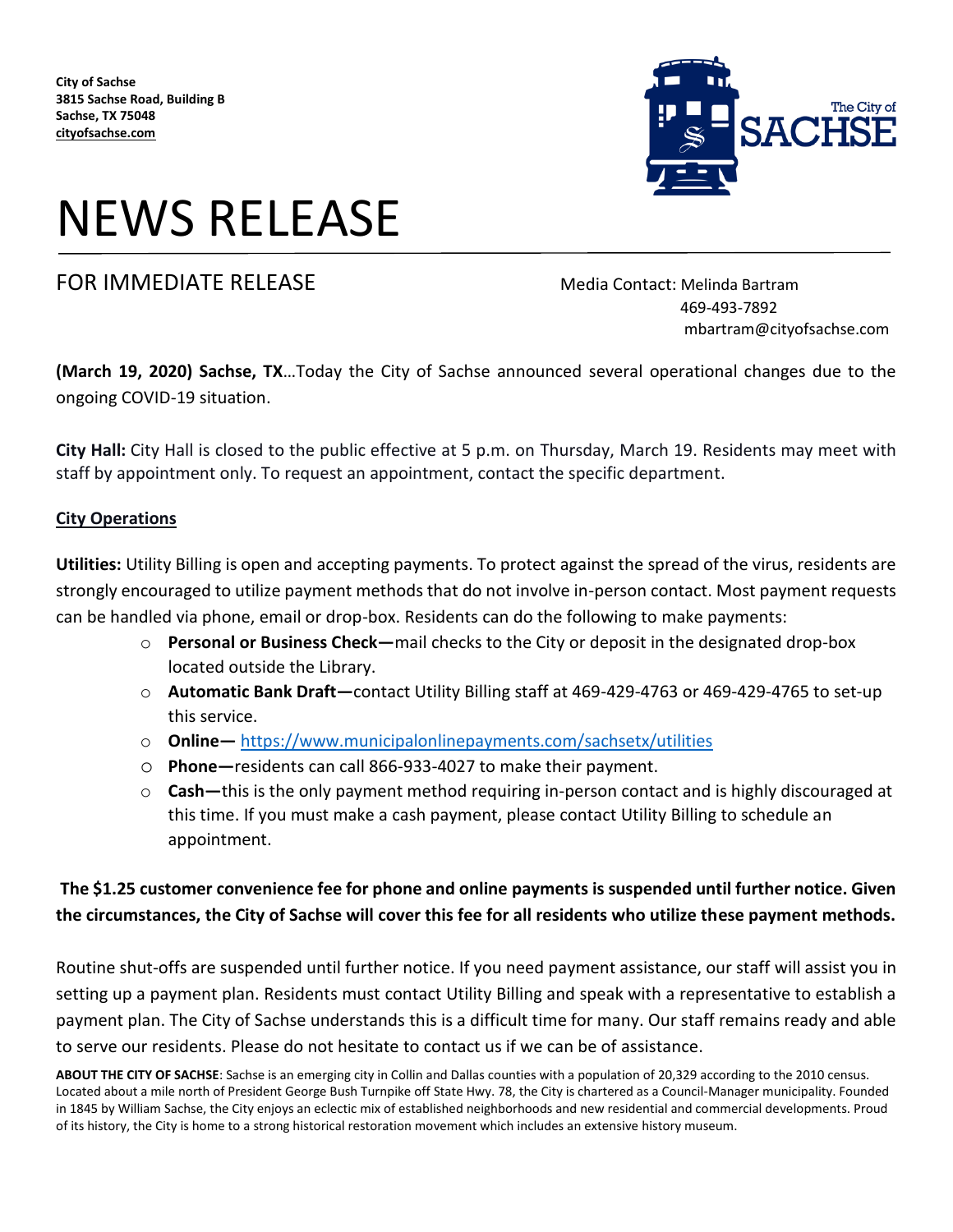

# NEWS RELEASE

## FOR IMMEDIATE RELEASE MEDICIAL Media Contact: Melinda Bartram

 469-493-7892 mbartram@cityofsachse.com

**(March 19, 2020) Sachse, TX**…Today the City of Sachse announced several operational changes due to the ongoing COVID-19 situation.

**City Hall:** City Hall is closed to the public effective at 5 p.m. on Thursday, March 19. Residents may meet with staff by appointment only. To request an appointment, contact the specific department.

#### **City Operations**

**Utilities:** Utility Billing is open and accepting payments. To protect against the spread of the virus, residents are strongly encouraged to utilize payment methods that do not involve in-person contact. Most payment requests can be handled via phone, email or drop-box. Residents can do the following to make payments:

- o **Personal or Business Check—**mail checks to the City or deposit in the designated drop-box located outside the Library.
- o **Automatic Bank Draft—**contact Utility Billing staff at 469-429-4763 or 469-429-4765 to set-up this service.
- o **Online—** <https://www.municipalonlinepayments.com/sachsetx/utilities>
- o **Phone—**residents can call 866-933-4027 to make their payment.
- o **Cash—**this is the only payment method requiring in-person contact and is highly discouraged at this time. If you must make a cash payment, please contact Utility Billing to schedule an appointment.

### **The \$1.25 customer convenience fee for phone and online payments is suspended until further notice. Given the circumstances, the City of Sachse will cover this fee for all residents who utilize these payment methods.**

Routine shut-offs are suspended until further notice. If you need payment assistance, our staff will assist you in setting up a payment plan. Residents must contact Utility Billing and speak with a representative to establish a payment plan. The City of Sachse understands this is a difficult time for many. Our staff remains ready and able to serve our residents. Please do not hesitate to contact us if we can be of assistance.

**ABOUT THE CITY OF SACHSE**: Sachse is an emerging city in Collin and Dallas counties with a population of 20,329 according to the 2010 census. Located about a mile north of President George Bush Turnpike off State Hwy. 78, the City is chartered as a Council-Manager municipality. Founded in 1845 by William Sachse, the City enjoys an eclectic mix of established neighborhoods and new residential and commercial developments. Proud of its history, the City is home to a strong historical restoration movement which includes an extensive history museum.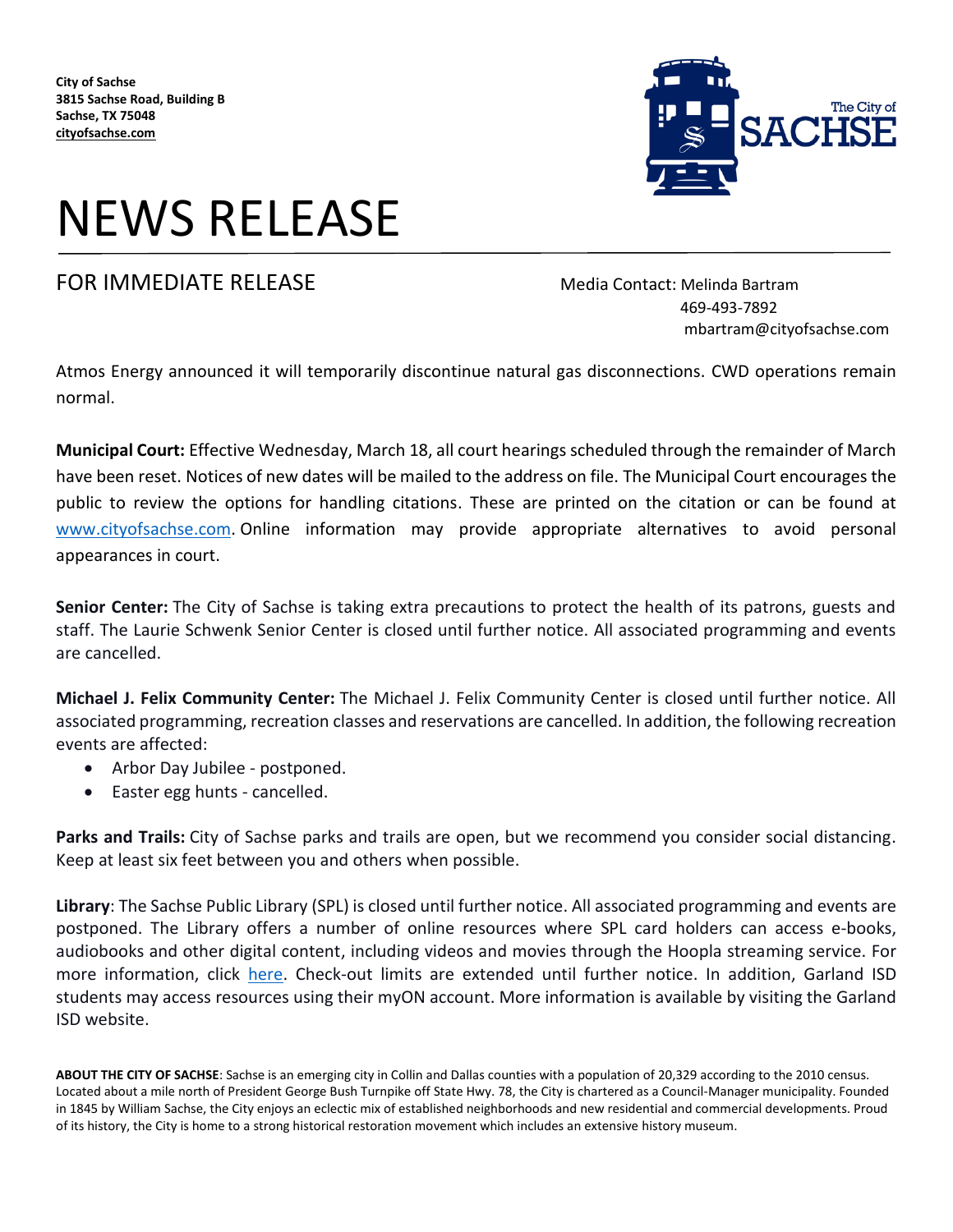**City of Sachse 3815 Sachse Road, Building B Sachse, TX 75048 cityofsachse.com**



# NEWS RELEASE

### FOR IMMEDIATE RELEASE MEDICIAL Media Contact: Melinda Bartram

 469-493-7892 mbartram@cityofsachse.com

Atmos Energy announced it will temporarily discontinue natural gas disconnections. CWD operations remain normal.

**Municipal Court:** Effective Wednesday, March 18, all court hearings scheduled through the remainder of March have been reset. Notices of new dates will be mailed to the address on file. The Municipal Court encourages the public to review the options for handling citations. These are printed on the citation or can be found at [www.cityofsachse.com.](http://www.cityofsachse.com/) Online information may provide appropriate alternatives to avoid personal appearances in court.

**Senior Center:** The City of Sachse is taking extra precautions to protect the health of its patrons, guests and staff. The Laurie Schwenk Senior Center is closed until further notice. All associated programming and events are cancelled.

**Michael J. Felix Community Center:** The Michael J. Felix Community Center is closed until further notice. All associated programming, recreation classes and reservations are cancelled. In addition, the following recreation events are affected:

- Arbor Day Jubilee postponed.
- Easter egg hunts cancelled.

**Parks and Trails:** City of Sachse parks and trails are open, but we recommend you consider social distancing. Keep at least six feet between you and others when possible.

**Library**: The Sachse Public Library (SPL) is closed until further notice. All associated programming and events are postponed. The Library offers a number of online resources where SPL card holders can access e-books, audiobooks and other digital content, including videos and movies through the Hoopla streaming service. For more information, click [here.](https://www.cityofsachse.com/130/Library) Check-out limits are extended until further notice. In addition, Garland ISD students may access resources using their myON account. More information is available by visiting the Garland ISD website.

**ABOUT THE CITY OF SACHSE**: Sachse is an emerging city in Collin and Dallas counties with a population of 20,329 according to the 2010 census. Located about a mile north of President George Bush Turnpike off State Hwy. 78, the City is chartered as a Council-Manager municipality. Founded in 1845 by William Sachse, the City enjoys an eclectic mix of established neighborhoods and new residential and commercial developments. Proud of its history, the City is home to a strong historical restoration movement which includes an extensive history museum.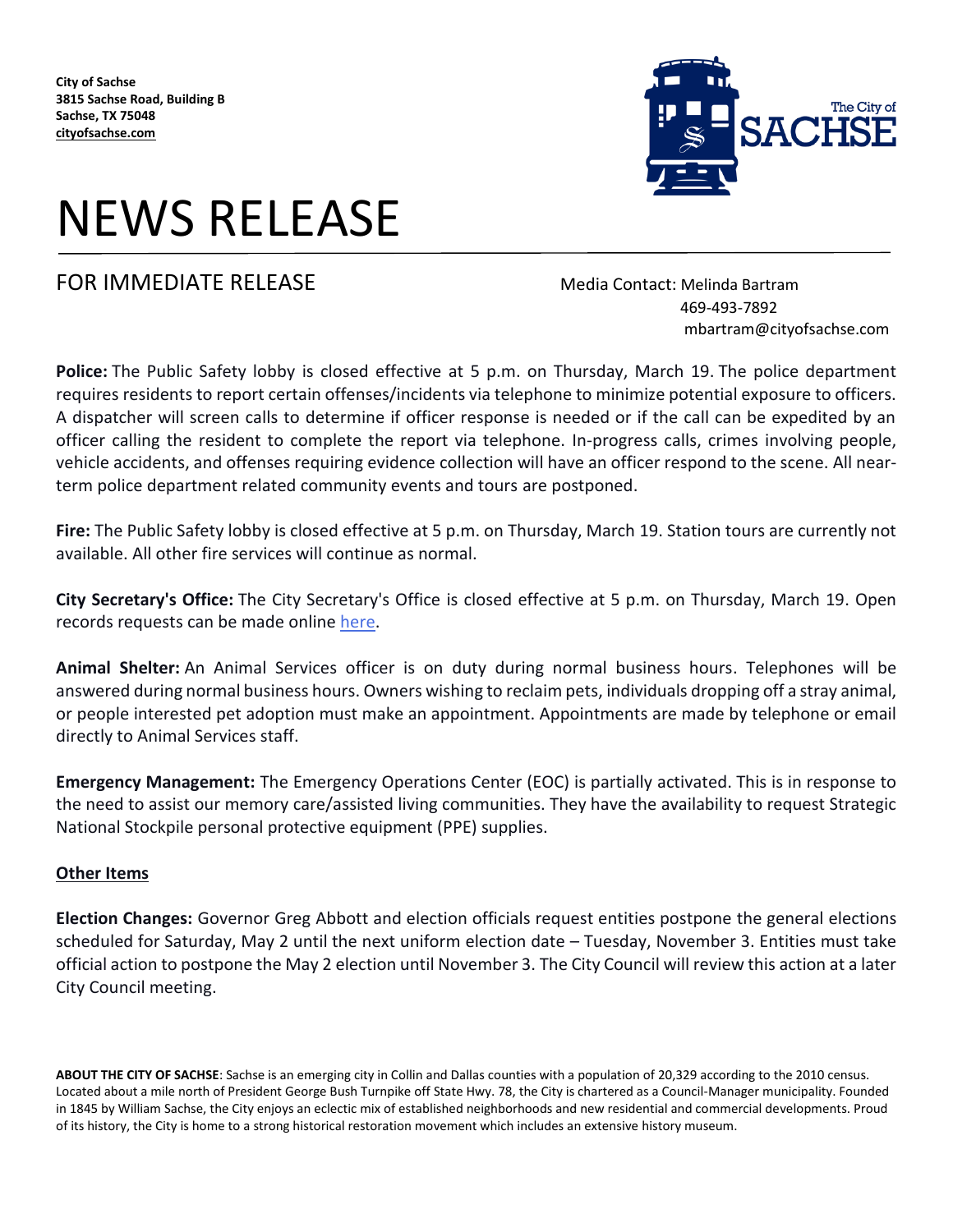**City of Sachse 3815 Sachse Road, Building B Sachse, TX 75048 cityofsachse.com**

# NEWS RELEASE

## FOR IMMEDIATE RELEASE MEDICIAL Media Contact: Melinda Bartram

 469-493-7892 mbartram@cityofsachse.com

**Police:** The Public Safety lobby is closed effective at 5 p.m. on Thursday, March 19. The police department requires residents to report certain offenses/incidents via telephone to minimize potential exposure to officers. A dispatcher will screen calls to determine if officer response is needed or if the call can be expedited by an officer calling the resident to complete the report via telephone. In-progress calls, crimes involving people, vehicle accidents, and offenses requiring evidence collection will have an officer respond to the scene. All nearterm police department related community events and tours are postponed.

**Fire:** The Public Safety lobby is closed effective at 5 p.m. on Thursday, March 19. Station tours are currently not available. All other fire services will continue as normal.

**City Secretary's Office:** The City Secretary's Office is closed effective at 5 p.m. on Thursday, March 19. Open records requests can be made online [here.](http://www.cityofsachse.com/262/Open-Records-Request)

**Animal Shelter:** An Animal Services officer is on duty during normal business hours. Telephones will be answered during normal business hours. Owners wishing to reclaim pets, individuals dropping off a stray animal, or people interested pet adoption must make an appointment. Appointments are made by telephone or email directly to Animal Services staff.

**Emergency Management:** The Emergency Operations Center (EOC) is partially activated. This is in response to the need to assist our memory care/assisted living communities. They have the availability to request Strategic National Stockpile personal protective equipment (PPE) supplies.

#### **Other Items**

**Election Changes:** Governor Greg Abbott and election officials request entities postpone the general elections scheduled for Saturday, May 2 until the next uniform election date – Tuesday, November 3. Entities must take official action to postpone the May 2 election until November 3. The City Council will review this action at a later City Council meeting.

**ABOUT THE CITY OF SACHSE**: Sachse is an emerging city in Collin and Dallas counties with a population of 20,329 according to the 2010 census. Located about a mile north of President George Bush Turnpike off State Hwy. 78, the City is chartered as a Council-Manager municipality. Founded in 1845 by William Sachse, the City enjoys an eclectic mix of established neighborhoods and new residential and commercial developments. Proud of its history, the City is home to a strong historical restoration movement which includes an extensive history museum.